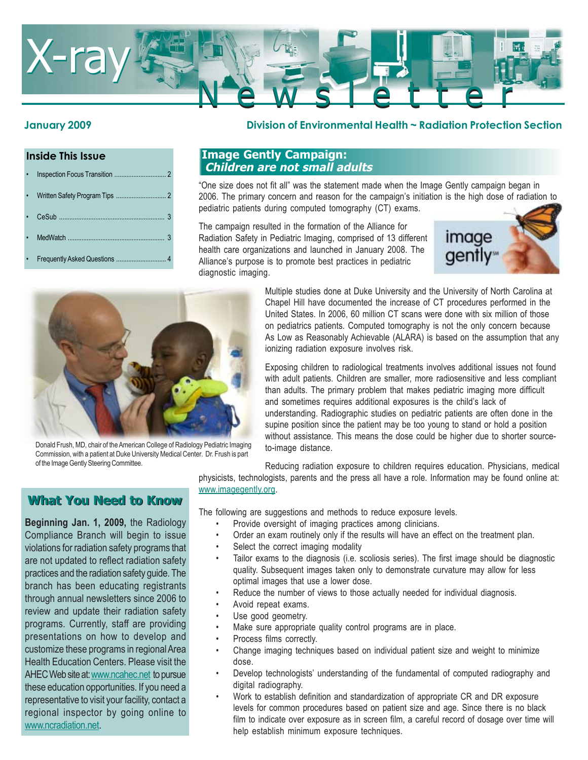

#### **Inside This Issue**

| $\bullet$ |  |  |  |  |
|-----------|--|--|--|--|
|-----------|--|--|--|--|

- Written Safety Program Tips ..................
- CeSub ........
- MedWatch .......
- Frequently Asked Questions ................

#### **January 2009 Division of Environmental Health ~ Radiation Protection Section**

### **Image Gently Campaign: Children are not small adults**

"One size does not fit all" was the statement made when the Image Gently campaign began in 2006. The primary concern and reason for the campaign's initiation is the high dose of radiation to pediatric patients during computed tomography (CT) exams.

The campaign resulted in the formation of the Alliance for Radiation Safety in Pediatric Imaging, comprised of 13 different health care organizations and launched in January 2008. The Alliance's purpose is to promote best practices in pediatric diagnostic imaging.





Donald Frush, MD, chair of the American College of Radiology Pediatric Imaging Commission, with a patient at Duke University Medical Center. Dr. Frush is part of the Image Gently Steering Committee.

Multiple studies done at Duke University and the University of North Carolina at Chapel Hill have documented the increase of CT procedures performed in the United States. In 2006, 60 million CT scans were done with six million of those on pediatrics patients. Computed tomography is not the only concern because As Low as Reasonably Achievable (ALARA) is based on the assumption that any ionizing radiation exposure involves risk.

Exposing children to radiological treatments involves additional issues not found with adult patients. Children are smaller, more radiosensitive and less compliant than adults. The primary problem that makes pediatric imaging more difficult and sometimes requires additional exposures is the child's lack of understanding. Radiographic studies on pediatric patients are often done in the supine position since the patient may be too young to stand or hold a position without assistance. This means the dose could be higher due to shorter sourceto-image distance.

Reducing radiation exposure to children requires education. Physicians, medical physicists, technologists, parents and the press all have a role. Information may be found online at: www.imagegently.org.

The following are suggestions and methods to reduce exposure levels.

- Provide oversight of imaging practices among clinicians.
- Order an exam routinely only if the results will have an effect on the treatment plan.
- Select the correct imaging modality
- Tailor exams to the diagnosis (i.e. scoliosis series). The first image should be diagnostic quality. Subsequent images taken only to demonstrate curvature may allow for less optimal images that use a lower dose.
- Reduce the number of views to those actually needed for individual diagnosis.
- Avoid repeat exams.
- Use good geometry.
- Make sure appropriate quality control programs are in place.
- Process films correctly.
- Change imaging techniques based on individual patient size and weight to minimize dose.
- Develop technologists' understanding of the fundamental of computed radiography and digital radiography.
- Work to establish definition and standardization of appropriate CR and DR exposure levels for common procedures based on patient size and age. Since there is no black film to indicate over exposure as in screen film, a careful record of dosage over time will help establish minimum exposure techniques.

# **What You Need to Know What You Need to Know**

**Beginning Jan. 1, 2009,** the Radiology Compliance Branch will begin to issue violations for radiation safety programs that are not updated to reflect radiation safety practices and the radiation safety guide. The branch has been educating registrants through annual newsletters since 2006 to review and update their radiation safety programs. Currently, staff are providing presentations on how to develop and customize these programs in regional Area Health Education Centers. Please visit the AHEC Web site at: www.ncahec.net to pursue these education opportunities. If you need a representative to visit your facility, contact a regional inspector by going online to www.ncradiation.net.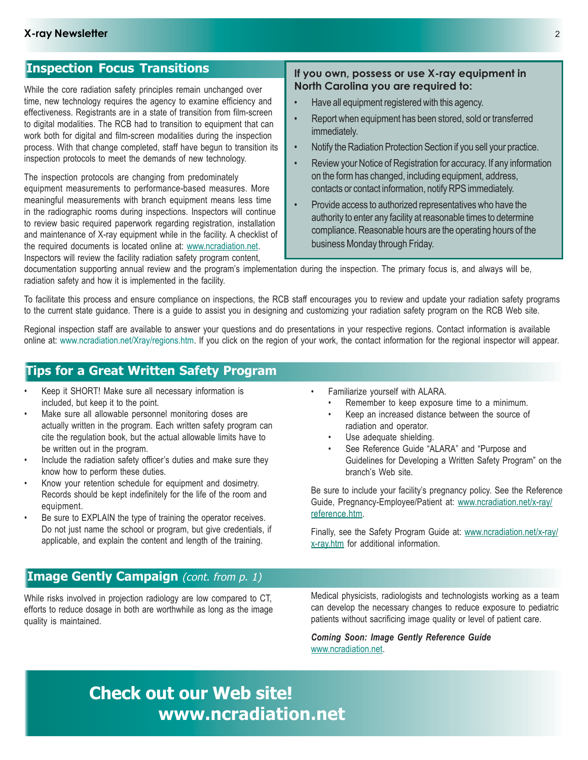# **Inspection Focus Transitions**

While the core radiation safety principles remain unchanged over time, new technology requires the agency to examine efficiency and effectiveness. Registrants are in a state of transition from film-screen to digital modalities. The RCB had to transition to equipment that can work both for digital and film-screen modalities during the inspection process. With that change completed, staff have begun to transition its inspection protocols to meet the demands of new technology.

The inspection protocols are changing from predominately equipment measurements to performance-based measures. More meaningful measurements with branch equipment means less time in the radiographic rooms during inspections. Inspectors will continue to review basic required paperwork regarding registration, installation and maintenance of X-ray equipment while in the facility. A checklist of the required documents is located online at: www.ncradiation.net. Inspectors will review the facility radiation safety program content,

#### **If you own, possess or use X-ray equipment in North Carolina you are required to:**

- Have all equipment registered with this agency.
- Report when equipment has been stored, sold or transferred immediately.
- Notify the Radiation Protection Section if you sell your practice.
- Review your Notice of Registration for accuracy. If any information on the form has changed, including equipment, address, contacts or contact information, notify RPS immediately.
- Provide access to authorized representatives who have the authority to enter any facility at reasonable times to determine compliance. Reasonable hours are the operating hours of the business Monday through Friday.

documentation supporting annual review and the program's implementation during the inspection. The primary focus is, and always will be, radiation safety and how it is implemented in the facility.

To facilitate this process and ensure compliance on inspections, the RCB staff encourages you to review and update your radiation safety programs to the current state guidance. There is a guide to assist you in designing and customizing your radiation safety program on the RCB Web site.

Regional inspection staff are available to answer your questions and do presentations in your respective regions. Contact information is available online at: www.ncradiation.net/Xray/regions.htm. If you click on the region of your work, the contact information for the regional inspector will appear.

# **Tips for a Great Written Safety Program**

- Keep it SHORT! Make sure all necessary information is included, but keep it to the point.
- Make sure all allowable personnel monitoring doses are actually written in the program. Each written safety program can cite the regulation book, but the actual allowable limits have to be written out in the program.
- Include the radiation safety officer's duties and make sure they know how to perform these duties.
- Know your retention schedule for equipment and dosimetry. Records should be kept indefinitely for the life of the room and equipment.
- Be sure to EXPLAIN the type of training the operator receives. Do not just name the school or program, but give credentials, if applicable, and explain the content and length of the training.
- Familiarize yourself with ALARA.
	- Remember to keep exposure time to a minimum.
	- Keep an increased distance between the source of radiation and operator.
	- Use adequate shielding.
	- See Reference Guide "ALARA" and "Purpose and Guidelines for Developing a Written Safety Program" on the branch's Web site.

Be sure to include your facility's pregnancy policy. See the Reference Guide, Pregnancy-Employee/Patient at: www.ncradiation.net/x-ray/ reference.htm.

Finally, see the Safety Program Guide at: www.ncradiation.net/x-ray/ x-ray.htm for additional information.

# **Image Gently Campaign** (cont. from p. 1)

While risks involved in projection radiology are low compared to CT, efforts to reduce dosage in both are worthwhile as long as the image quality is maintained.

Medical physicists, radiologists and technologists working as a team can develop the necessary changes to reduce exposure to pediatric patients without sacrificing image quality or level of patient care.

*Coming Soon: Image Gently Reference Guide* www.ncradiation.net.

# **Check out our Web site! www.ncradiation.net**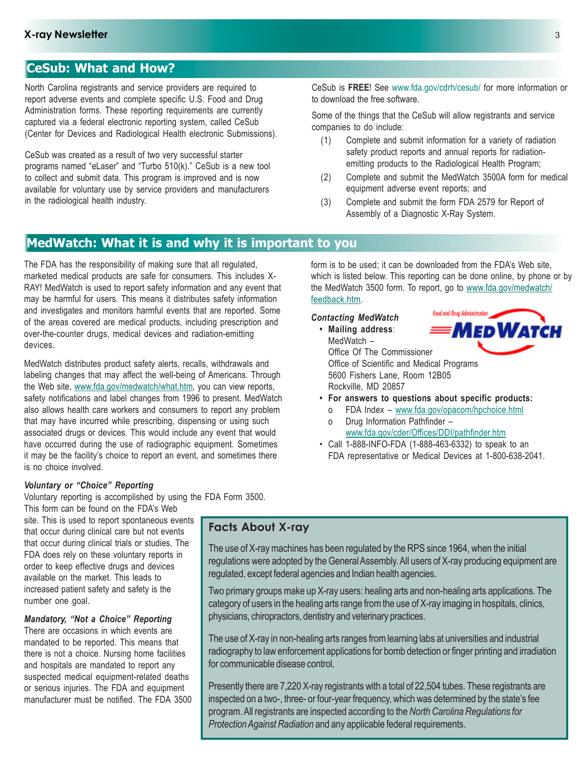# **CeSub: What and How?**

North Carolina registrants and service providers are required to report adverse events and complete specific U.S. Food and Drug Administration forms. These reporting requirements are currently captured via a federal electronic reporting system, called CeSub (Center for Devices and Radiological Health electronic Submissions).

CeSub was created as a result of two very successful starter programs named "eLaser" and "Turbo 510(k)." CeSub is a new tool to collect and submit data. This program is improved and is now available for voluntary use by service providers and manufacturers in the radiological health industry.

CeSub is **FREE**! See www.fda.gov/cdrh/cesub/ for more information or to download the free software.

Some of the things that the CeSub will allow registrants and service companies to do include:

- (1) Complete and submit information for a variety of radiation safety product reports and annual reports for radiationemitting products to the Radiological Health Program;
- (2) Complete and submit the MedWatch 3500A form for medical equipment adverse event reports; and
- (3) Complete and submit the form FDA 2579 for Report of Assembly of a Diagnostic X-Ray System.

form is to be used; it can be downloaded from the FDA's Web site, which is listed below. This reporting can be done online, by phone or by the MedWatch 3500 form. To report, go to www.fda.gov/medwatch/

# **MedWatch: What it is and why it is important to you**

The FDA has the responsibility of making sure that all regulated, marketed medical products are safe for consumers. This includes X-RAY! MedWatch is used to report safety information and any event that may be harmful for users. This means it distributes safety information and investigates and monitors harmful events that are reported. Some of the areas covered are medical products, including prescription and over-the-counter drugs, medical devices and radiation-emitting devices.

MedWatch distributes product safety alerts, recalls, withdrawals and labeling changes that may affect the well-being of Americans. Through the Web site, www.fda.gov/medwatch/what.htm, you can view reports, safety notifications and label changes from 1996 to present. MedWatch also allows health care workers and consumers to report any problem that may have incurred while prescribing, dispensing or using such associated drugs or devices. This would include any event that would have occurred during the use of radiographic equipment. Sometimes it may be the facility's choice to report an event, and sometimes there is no choice involved.

#### *Voluntary or "Choice" Reporting*

Voluntary reporting is accomplished by using the FDA Form 3500.

This form can be found on the FDA's Web site. This is used to report spontaneous events that occur during clinical care but not events that occur during clinical trials or studies. The FDA does rely on these voluntary reports in order to keep effective drugs and devices available on the market. This leads to increased patient safety and safety is the number one goal.

#### *Mandatory, "Not a Choice" Reporting*

There are occasions in which events are mandated to be reported. This means that there is not a choice. Nursing home facilities and hospitals are mandated to report any suspected medical equipment-related deaths or serious injuries. The FDA and equipment manufacturer must be notified. The FDA 3500

## **Facts About X-ray**

The use of X-ray machines has been regulated by the RPS since 1964, when the initial regulations were adopted by the General Assembly. All users of X-ray producing equipment are regulated, except federal agencies and Indian health agencies.

Two primary groups make up X-ray users: healing arts and non-healing arts applications. The category of users in the healing arts range from the use of X-ray imaging in hospitals, clinics, physicians, chiropractors, dentistry and veterinary practices.

The use of X-ray in non-healing arts ranges from learning labs at universities and industrial radiography to law enforcement applications for bomb detection or finger printing and irradiation for communicable disease control.

Presently there are 7,220 X-ray registrants with a total of 22,504 tubes. These registrants are inspected on a two-, three- or four-year frequency, which was determined by the state's fee program. All registrants are inspected according to the *North Carolina Regulations for Protection Against Radiation* and any applicable federal requirements.

feedback.htm. Food and Drug Administration *Contacting MedWatch* **MEDWATCH • Mailing address**: MedWatch –

Office Of The Commissioner Office of Scientific and Medical Programs 5600 Fishers Lane, Room 12B05 Rockville, MD 20857



- **For answers to questions about specific products:**
	- o FDA Index www.fda.gov/opacom/hpchoice.html
	- o Drug Information Pathfinder –
- www.fda.gov/cder/Offices/DDI/pathfinder.htm • Call 1-888-INFO-FDA (1-888-463-6332) to speak to an
- FDA representative or Medical Devices at 1-800-638-2041.